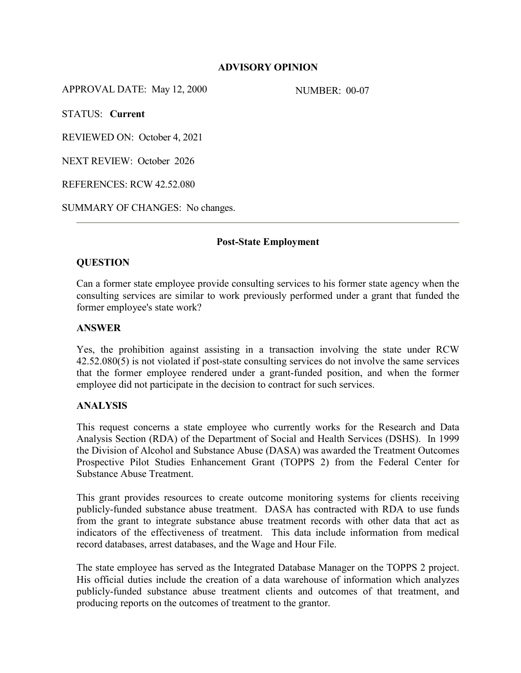# **ADVISORY OPINION**

APPROVAL DATE: May 12, 2000 NUMBER: 00-07

STATUS: **Current**

REVIEWED ON: October 4, 2021

NEXT REVIEW: October 2026

REFERENCES: RCW 42.52.080

SUMMARY OF CHANGES: No changes.

#### **Post-State Employment**

# **QUESTION**

Can a former state employee provide consulting services to his former state agency when the consulting services are similar to work previously performed under a grant that funded the former employee's state work?

#### **ANSWER**

Yes, the prohibition against assisting in a transaction involving the state under RCW 42.52.080(5) is not violated if post-state consulting services do not involve the same services that the former employee rendered under a grant-funded position, and when the former employee did not participate in the decision to contract for such services.

# **ANALYSIS**

This request concerns a state employee who currently works for the Research and Data Analysis Section (RDA) of the Department of Social and Health Services (DSHS). In 1999 the Division of Alcohol and Substance Abuse (DASA) was awarded the Treatment Outcomes Prospective Pilot Studies Enhancement Grant (TOPPS 2) from the Federal Center for Substance Abuse Treatment.

This grant provides resources to create outcome monitoring systems for clients receiving publicly-funded substance abuse treatment. DASA has contracted with RDA to use funds from the grant to integrate substance abuse treatment records with other data that act as indicators of the effectiveness of treatment. This data include information from medical record databases, arrest databases, and the Wage and Hour File.

The state employee has served as the Integrated Database Manager on the TOPPS 2 project. His official duties include the creation of a data warehouse of information which analyzes publicly-funded substance abuse treatment clients and outcomes of that treatment, and producing reports on the outcomes of treatment to the grantor.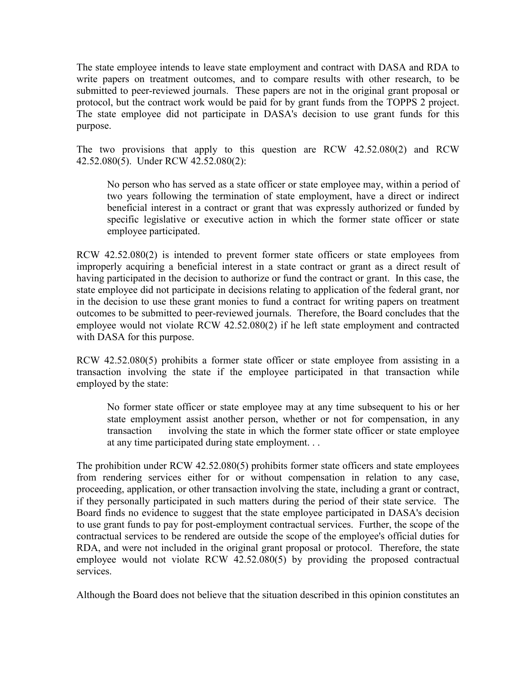The state employee intends to leave state employment and contract with DASA and RDA to write papers on treatment outcomes, and to compare results with other research, to be submitted to peer-reviewed journals. These papers are not in the original grant proposal or protocol, but the contract work would be paid for by grant funds from the TOPPS 2 project. The state employee did not participate in DASA's decision to use grant funds for this purpose.

The two provisions that apply to this question are RCW 42.52.080(2) and RCW 42.52.080(5). Under RCW 42.52.080(2):

No person who has served as a state officer or state employee may, within a period of two years following the termination of state employment, have a direct or indirect beneficial interest in a contract or grant that was expressly authorized or funded by specific legislative or executive action in which the former state officer or state employee participated.

RCW 42.52.080(2) is intended to prevent former state officers or state employees from improperly acquiring a beneficial interest in a state contract or grant as a direct result of having participated in the decision to authorize or fund the contract or grant. In this case, the state employee did not participate in decisions relating to application of the federal grant, nor in the decision to use these grant monies to fund a contract for writing papers on treatment outcomes to be submitted to peer-reviewed journals. Therefore, the Board concludes that the employee would not violate RCW 42.52.080(2) if he left state employment and contracted with DASA for this purpose.

RCW 42.52.080(5) prohibits a former state officer or state employee from assisting in a transaction involving the state if the employee participated in that transaction while employed by the state:

No former state officer or state employee may at any time subsequent to his or her state employment assist another person, whether or not for compensation, in any transaction involving the state in which the former state officer or state employee at any time participated during state employment. . .

The prohibition under RCW 42.52.080(5) prohibits former state officers and state employees from rendering services either for or without compensation in relation to any case, proceeding, application, or other transaction involving the state, including a grant or contract, if they personally participated in such matters during the period of their state service. The Board finds no evidence to suggest that the state employee participated in DASA's decision to use grant funds to pay for post-employment contractual services. Further, the scope of the contractual services to be rendered are outside the scope of the employee's official duties for RDA, and were not included in the original grant proposal or protocol. Therefore, the state employee would not violate RCW 42.52.080(5) by providing the proposed contractual services.

Although the Board does not believe that the situation described in this opinion constitutes an